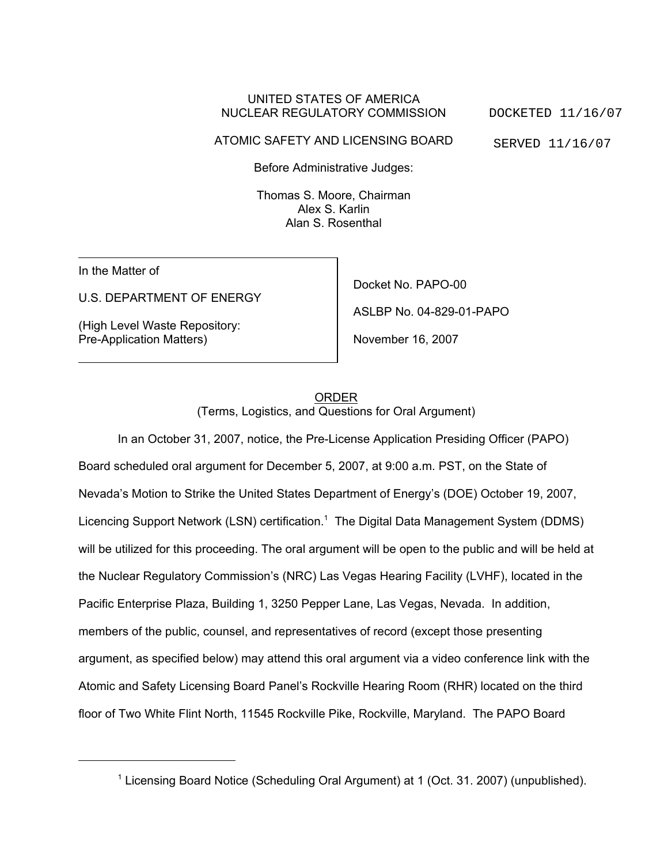## UNITED STATES OF AMERICA NUCLEAR REGULATORY COMMISSION

ATOMIC SAFETY AND LICENSING BOARD

DOCKETED 11/16/07 SERVED 11/16/07

Before Administrative Judges:

Thomas S. Moore, Chairman Alex S. Karlin Alan S. Rosenthal

In the Matter of

U.S. DEPARTMENT OF ENERGY

(High Level Waste Repository: Pre-Application Matters)

Docket No. PAPO-00 ASLBP No. 04-829-01-PAPO November 16, 2007

ORDER (Terms, Logistics, and Questions for Oral Argument)

In an October 31, 2007, notice, the Pre-License Application Presiding Officer (PAPO) Board scheduled oral argument for December 5, 2007, at 9:00 a.m. PST, on the State of Nevada's Motion to Strike the United States Department of Energy's (DOE) October 19, 2007, Licencing Support Network (LSN) certification.<sup>1</sup> The Digital Data Management System (DDMS) will be utilized for this proceeding. The oral argument will be open to the public and will be held at the Nuclear Regulatory Commission's (NRC) Las Vegas Hearing Facility (LVHF), located in the Pacific Enterprise Plaza, Building 1, 3250 Pepper Lane, Las Vegas, Nevada. In addition, members of the public, counsel, and representatives of record (except those presenting argument, as specified below) may attend this oral argument via a video conference link with the Atomic and Safety Licensing Board Panel's Rockville Hearing Room (RHR) located on the third floor of Two White Flint North, 11545 Rockville Pike, Rockville, Maryland. The PAPO Board

<sup>&</sup>lt;sup>1</sup> Licensing Board Notice (Scheduling Oral Argument) at 1 (Oct. 31. 2007) (unpublished).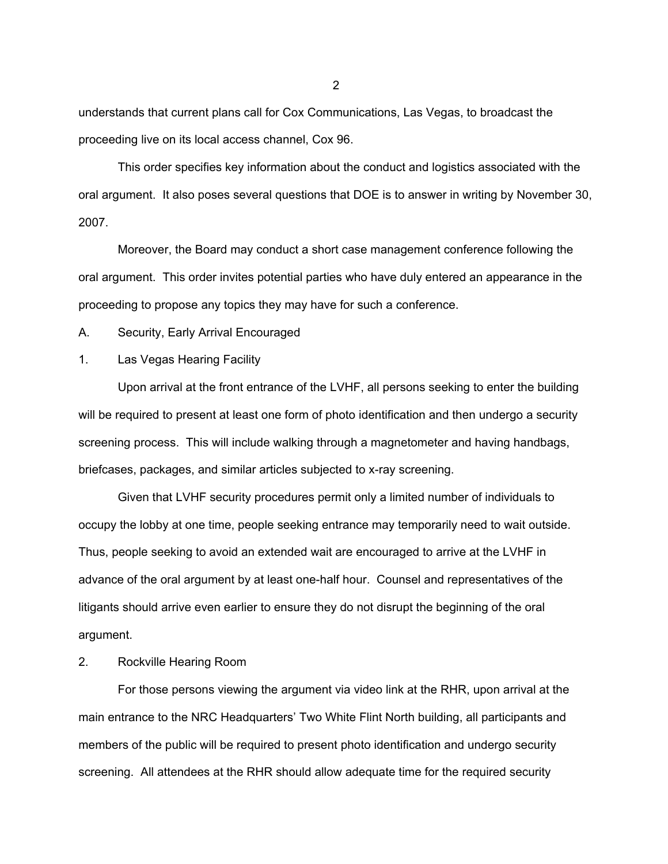understands that current plans call for Cox Communications, Las Vegas, to broadcast the proceeding live on its local access channel, Cox 96.

This order specifies key information about the conduct and logistics associated with the oral argument. It also poses several questions that DOE is to answer in writing by November 30, 2007.

Moreover, the Board may conduct a short case management conference following the oral argument. This order invites potential parties who have duly entered an appearance in the proceeding to propose any topics they may have for such a conference.

A. Security, Early Arrival Encouraged

## 1. Las Vegas Hearing Facility

Upon arrival at the front entrance of the LVHF, all persons seeking to enter the building will be required to present at least one form of photo identification and then undergo a security screening process. This will include walking through a magnetometer and having handbags, briefcases, packages, and similar articles subjected to x-ray screening.

Given that LVHF security procedures permit only a limited number of individuals to occupy the lobby at one time, people seeking entrance may temporarily need to wait outside. Thus, people seeking to avoid an extended wait are encouraged to arrive at the LVHF in advance of the oral argument by at least one-half hour. Counsel and representatives of the litigants should arrive even earlier to ensure they do not disrupt the beginning of the oral argument.

## 2. Rockville Hearing Room

For those persons viewing the argument via video link at the RHR, upon arrival at the main entrance to the NRC Headquarters' Two White Flint North building, all participants and members of the public will be required to present photo identification and undergo security screening. All attendees at the RHR should allow adequate time for the required security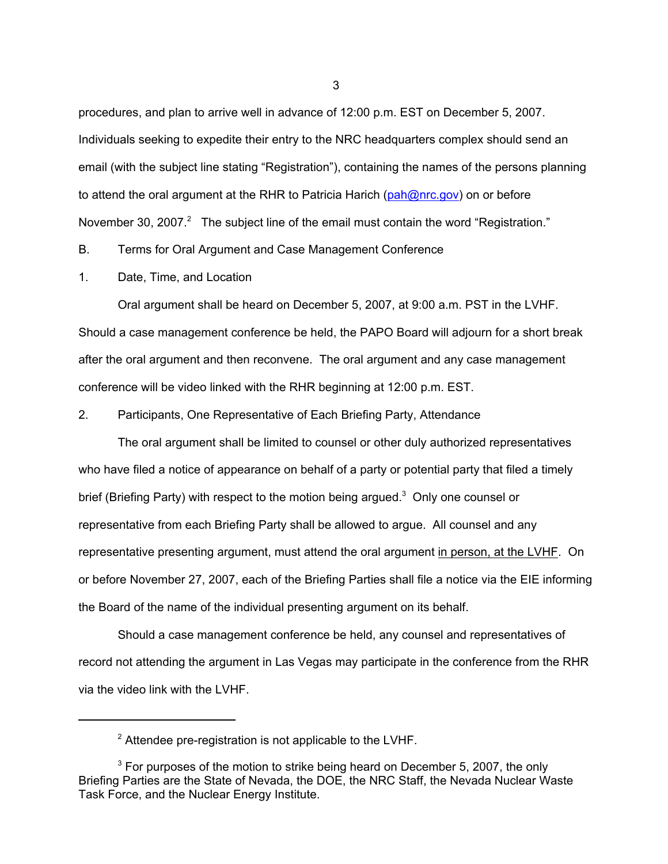procedures, and plan to arrive well in advance of 12:00 p.m. EST on December 5, 2007. Individuals seeking to expedite their entry to the NRC headquarters complex should send an email (with the subject line stating "Registration"), containing the names of the persons planning to attend the oral argument at the RHR to Patricia Harich (pah@nrc.gov) on or before November 30, 2007. $^2$  The subject line of the email must contain the word "Registration."

B. Terms for Oral Argument and Case Management Conference

1. Date, Time, and Location

Oral argument shall be heard on December 5, 2007, at 9:00 a.m. PST in the LVHF. Should a case management conference be held, the PAPO Board will adjourn for a short break after the oral argument and then reconvene. The oral argument and any case management conference will be video linked with the RHR beginning at 12:00 p.m. EST.

2. Participants, One Representative of Each Briefing Party, Attendance

The oral argument shall be limited to counsel or other duly authorized representatives who have filed a notice of appearance on behalf of a party or potential party that filed a timely brief (Briefing Party) with respect to the motion being argued.<sup>3</sup> Only one counsel or representative from each Briefing Party shall be allowed to argue. All counsel and any representative presenting argument, must attend the oral argument in person, at the LVHF. On or before November 27, 2007, each of the Briefing Parties shall file a notice via the EIE informing the Board of the name of the individual presenting argument on its behalf.

Should a case management conference be held, any counsel and representatives of record not attending the argument in Las Vegas may participate in the conference from the RHR via the video link with the LVHF.

 $2$  Attendee pre-registration is not applicable to the LVHF.

 $3$  For purposes of the motion to strike being heard on December 5, 2007, the only Briefing Parties are the State of Nevada, the DOE, the NRC Staff, the Nevada Nuclear Waste Task Force, and the Nuclear Energy Institute.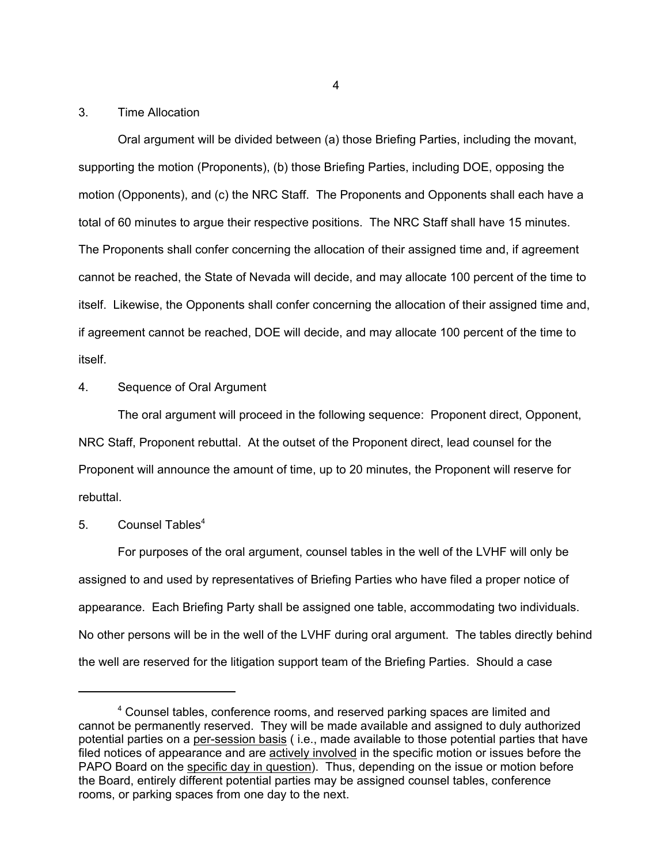### 3. Time Allocation

Oral argument will be divided between (a) those Briefing Parties, including the movant, supporting the motion (Proponents), (b) those Briefing Parties, including DOE, opposing the motion (Opponents), and (c) the NRC Staff. The Proponents and Opponents shall each have a total of 60 minutes to argue their respective positions. The NRC Staff shall have 15 minutes. The Proponents shall confer concerning the allocation of their assigned time and, if agreement cannot be reached, the State of Nevada will decide, and may allocate 100 percent of the time to itself. Likewise, the Opponents shall confer concerning the allocation of their assigned time and, if agreement cannot be reached, DOE will decide, and may allocate 100 percent of the time to itself.

## 4. Sequence of Oral Argument

The oral argument will proceed in the following sequence: Proponent direct, Opponent, NRC Staff, Proponent rebuttal. At the outset of the Proponent direct, lead counsel for the Proponent will announce the amount of time, up to 20 minutes, the Proponent will reserve for rebuttal.

## $5^{\circ}$  Counsel Tables<sup>4</sup>

For purposes of the oral argument, counsel tables in the well of the LVHF will only be assigned to and used by representatives of Briefing Parties who have filed a proper notice of appearance. Each Briefing Party shall be assigned one table, accommodating two individuals. No other persons will be in the well of the LVHF during oral argument. The tables directly behind the well are reserved for the litigation support team of the Briefing Parties. Should a case

<sup>&</sup>lt;sup>4</sup> Counsel tables, conference rooms, and reserved parking spaces are limited and cannot be permanently reserved. They will be made available and assigned to duly authorized potential parties on a per-session basis ( i.e., made available to those potential parties that have filed notices of appearance and are actively involved in the specific motion or issues before the PAPO Board on the specific day in question). Thus, depending on the issue or motion before the Board, entirely different potential parties may be assigned counsel tables, conference rooms, or parking spaces from one day to the next.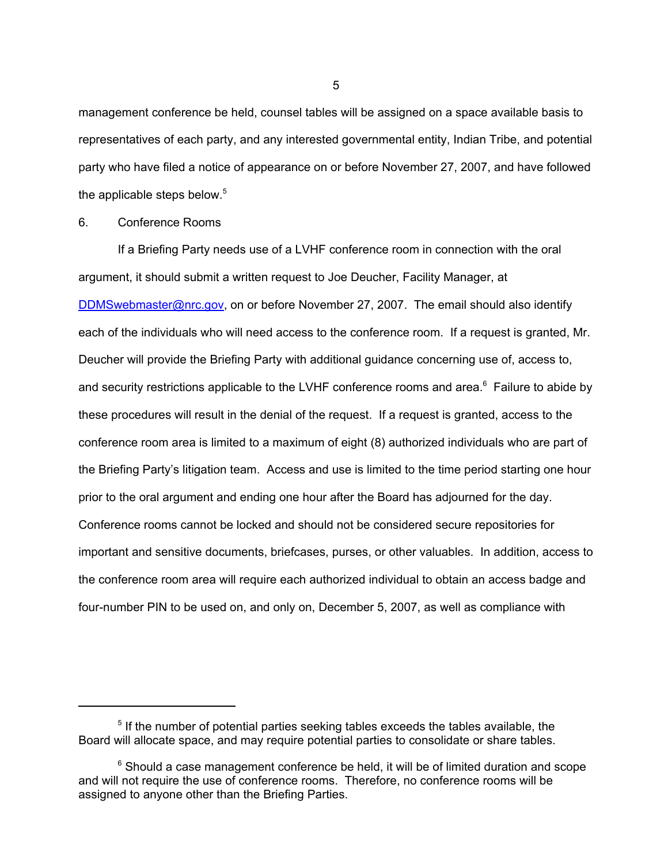management conference be held, counsel tables will be assigned on a space available basis to representatives of each party, and any interested governmental entity, Indian Tribe, and potential party who have filed a notice of appearance on or before November 27, 2007, and have followed the applicable steps below. $5$ 

6. Conference Rooms

If a Briefing Party needs use of a LVHF conference room in connection with the oral argument, it should submit a written request to Joe Deucher, Facility Manager, at DDMSwebmaster@nrc.gov, on or before November 27, 2007. The email should also identify each of the individuals who will need access to the conference room. If a request is granted, Mr. Deucher will provide the Briefing Party with additional guidance concerning use of, access to, and security restrictions applicable to the LVHF conference rooms and area. $^6$  Failure to abide by these procedures will result in the denial of the request. If a request is granted, access to the conference room area is limited to a maximum of eight (8) authorized individuals who are part of the Briefing Party's litigation team. Access and use is limited to the time period starting one hour prior to the oral argument and ending one hour after the Board has adjourned for the day. Conference rooms cannot be locked and should not be considered secure repositories for important and sensitive documents, briefcases, purses, or other valuables. In addition, access to the conference room area will require each authorized individual to obtain an access badge and four-number PIN to be used on, and only on, December 5, 2007, as well as compliance with

<sup>&</sup>lt;sup>5</sup> If the number of potential parties seeking tables exceeds the tables available, the Board will allocate space, and may require potential parties to consolidate or share tables.

 $6$  Should a case management conference be held, it will be of limited duration and scope and will not require the use of conference rooms. Therefore, no conference rooms will be assigned to anyone other than the Briefing Parties.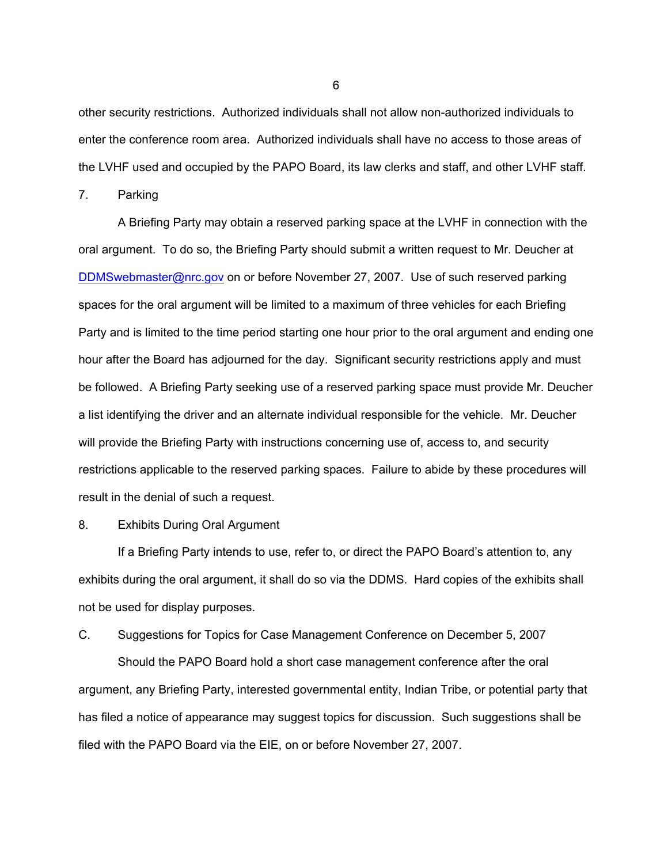other security restrictions. Authorized individuals shall not allow non-authorized individuals to enter the conference room area. Authorized individuals shall have no access to those areas of the LVHF used and occupied by the PAPO Board, its law clerks and staff, and other LVHF staff.

7. Parking

A Briefing Party may obtain a reserved parking space at the LVHF in connection with the oral argument. To do so, the Briefing Party should submit a written request to Mr. Deucher at DDMSwebmaster@nrc.gov on or before November 27, 2007. Use of such reserved parking spaces for the oral argument will be limited to a maximum of three vehicles for each Briefing Party and is limited to the time period starting one hour prior to the oral argument and ending one hour after the Board has adjourned for the day. Significant security restrictions apply and must be followed. A Briefing Party seeking use of a reserved parking space must provide Mr. Deucher a list identifying the driver and an alternate individual responsible for the vehicle. Mr. Deucher will provide the Briefing Party with instructions concerning use of, access to, and security restrictions applicable to the reserved parking spaces. Failure to abide by these procedures will result in the denial of such a request.

### 8. Exhibits During Oral Argument

If a Briefing Party intends to use, refer to, or direct the PAPO Board's attention to, any exhibits during the oral argument, it shall do so via the DDMS. Hard copies of the exhibits shall not be used for display purposes.

# C. Suggestions for Topics for Case Management Conference on December 5, 2007 Should the PAPO Board hold a short case management conference after the oral argument, any Briefing Party, interested governmental entity, Indian Tribe, or potential party that has filed a notice of appearance may suggest topics for discussion. Such suggestions shall be filed with the PAPO Board via the EIE, on or before November 27, 2007.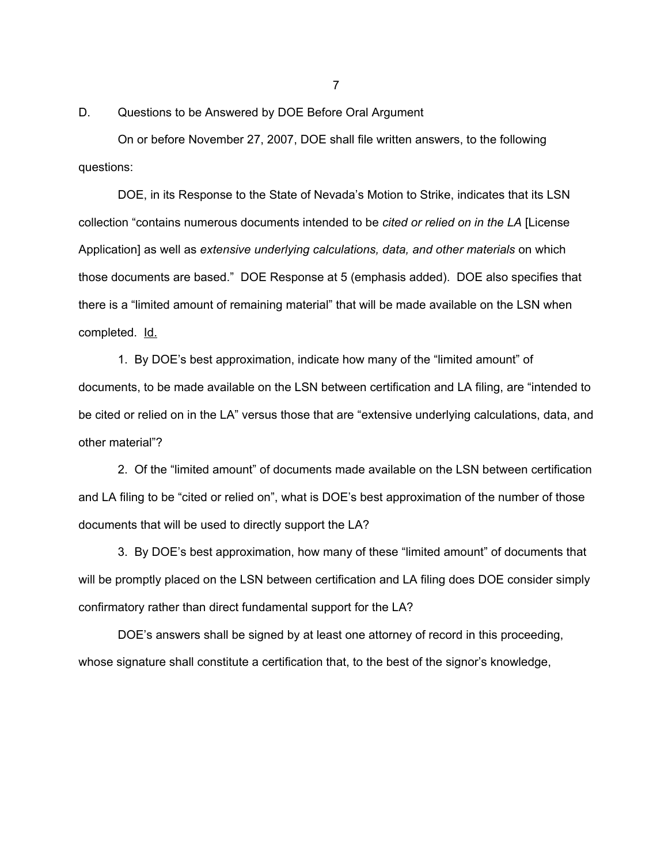D. Questions to be Answered by DOE Before Oral Argument

On or before November 27, 2007, DOE shall file written answers, to the following questions:

DOE, in its Response to the State of Nevada's Motion to Strike, indicates that its LSN collection "contains numerous documents intended to be *cited or relied on in the LA* [License Application] as well as *extensive underlying calculations, data, and other materials* on which those documents are based." DOE Response at 5 (emphasis added). DOE also specifies that there is a "limited amount of remaining material" that will be made available on the LSN when completed. Id.

1. By DOE's best approximation, indicate how many of the "limited amount" of documents, to be made available on the LSN between certification and LA filing, are "intended to be cited or relied on in the LA" versus those that are "extensive underlying calculations, data, and other material"?

2. Of the "limited amount" of documents made available on the LSN between certification and LA filing to be "cited or relied on", what is DOE's best approximation of the number of those documents that will be used to directly support the LA?

3. By DOE's best approximation, how many of these "limited amount" of documents that will be promptly placed on the LSN between certification and LA filing does DOE consider simply confirmatory rather than direct fundamental support for the LA?

DOE's answers shall be signed by at least one attorney of record in this proceeding, whose signature shall constitute a certification that, to the best of the signor's knowledge,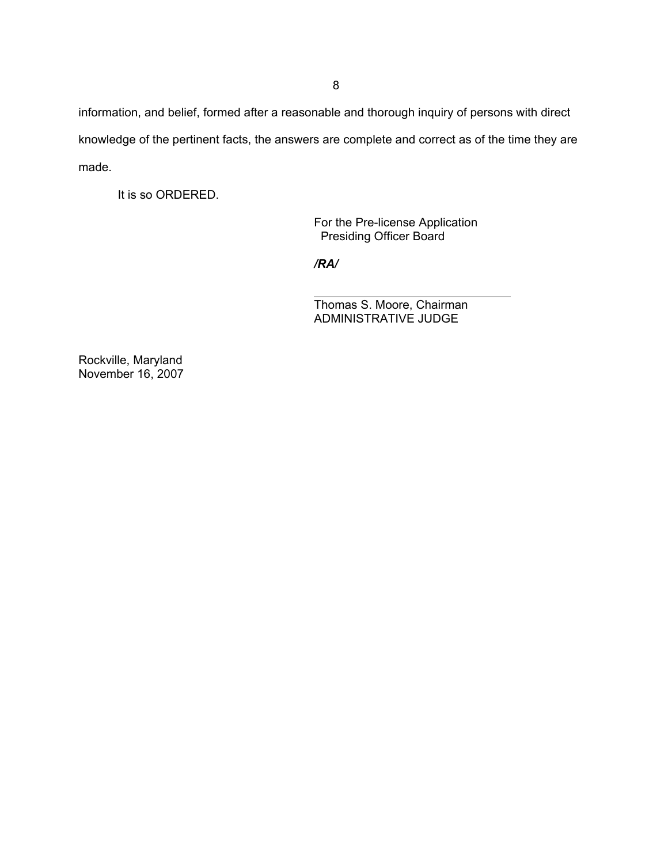information, and belief, formed after a reasonable and thorough inquiry of persons with direct knowledge of the pertinent facts, the answers are complete and correct as of the time they are made.

It is so ORDERED.

For the Pre-license Application Presiding Officer Board

*/RA/*

 $\overline{a}$ 

Thomas S. Moore, Chairman ADMINISTRATIVE JUDGE

Rockville, Maryland November 16, 2007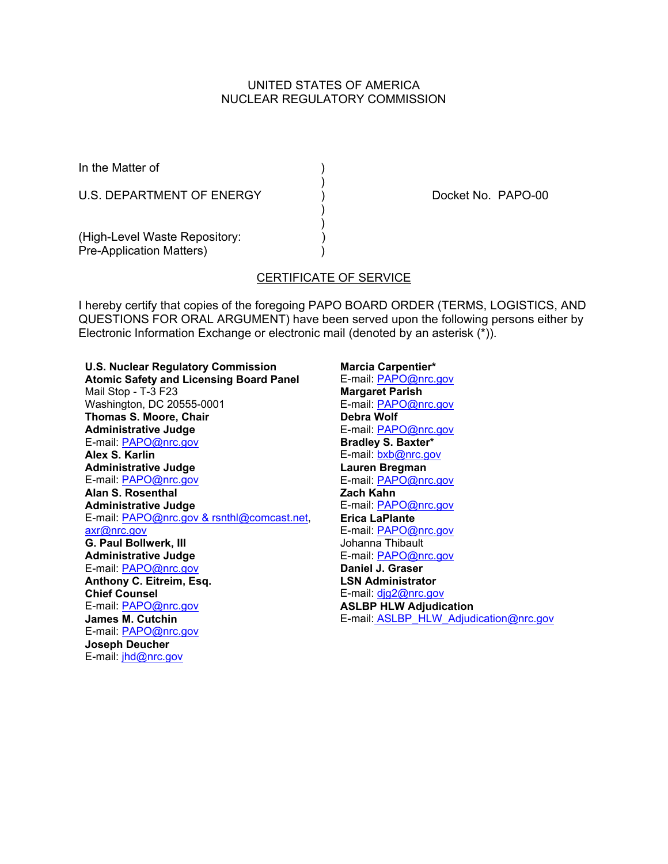# UNITED STATES OF AMERICA NUCLEAR REGULATORY COMMISSION

)

 ) )

In the Matter of (1)

U.S. DEPARTMENT OF ENERGY (a) CONSIDERING RAPO-00

(High-Level Waste Repository: Pre-Application Matters) (1999)

# CERTIFICATE OF SERVICE

I hereby certify that copies of the foregoing PAPO BOARD ORDER (TERMS, LOGISTICS, AND QUESTIONS FOR ORAL ARGUMENT) have been served upon the following persons either by Electronic Information Exchange or electronic mail (denoted by an asterisk (\*)).

**U.S. Nuclear Regulatory Commission Atomic Safety and Licensing Board Panel** Mail Stop - T-3 F23 Washington, DC 20555-0001 **Thomas S. Moore, Chair Administrative Judge** E-mail: PAPO@nrc.gov **Alex S. Karlin Administrative Judge** E-mail: PAPO@nrc.gov **Alan S. Rosenthal Administrative Judge** E-mail: PAPO@nrc.gov & rsnthl@comcast.net, axr@nrc.gov **G. Paul Bollwerk, III Administrative Judge** E-mail: PAPO@nrc.gov **Anthony C. Eitreim, Esq. Chief Counsel** E-mail: PAPO@nrc.gov **James M. Cutchin** E-mail: PAPO@nrc.gov **Joseph Deucher** E-mail: jhd@nrc.gov

**Marcia Carpentier\*** E-mail: PAPO@nrc.gov **Margaret Parish** E-mail: PAPO@nrc.gov **Debra Wolf** E-mail: PAPO@nrc.gov **Bradley S. Baxter\*** E-mail: bxb@nrc.gov **Lauren Bregman** E-mail: PAPO@nrc.gov **Zach Kahn** E-mail: PAPO@nrc.gov **Erica LaPlante** E-mail: PAPO@nrc.gov Johanna Thibault E-mail: PAPO@nrc.gov **Daniel J. Graser LSN Administrator** E-mail: djg2@nrc.gov **ASLBP HLW Adjudication** E-mail: ASLBP\_HLW\_Adjudication@nrc.gov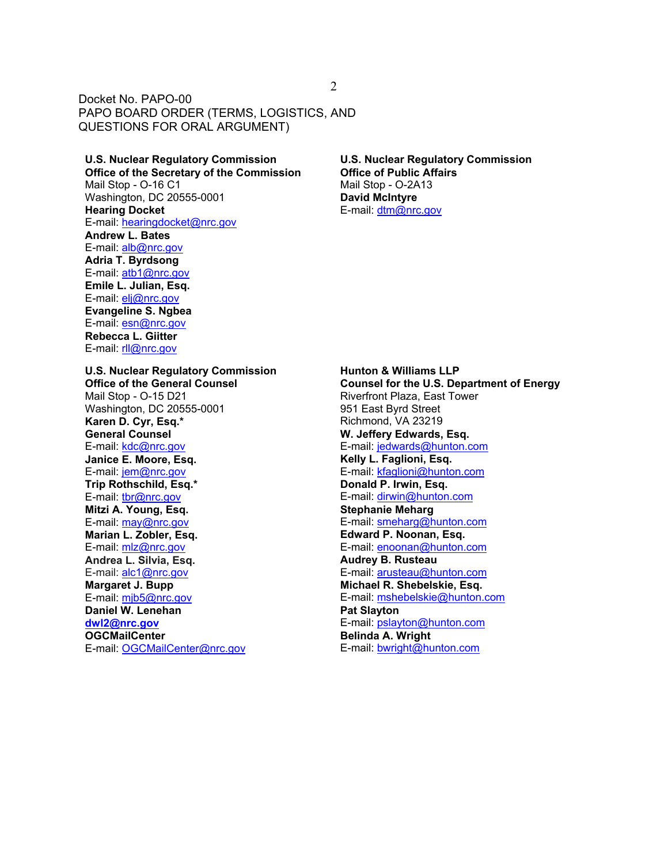**U.S. Nuclear Regulatory Commission Office of the Secretary of the Commission** Mail Stop - O-16 C1 Washington, DC 20555-0001 **Hearing Docket** E-mail: hearingdocket@nrc.gov **Andrew L. Bates** E-mail: alb@nrc.gov **Adria T. Byrdsong** E-mail: atb1@nrc.gov **Emile L. Julian, Esq.** E-mail: elj@nrc.gov **Evangeline S. Ngbea** E-mail: esn@nrc.gov **Rebecca L. Giitter** E-mail: rll@nrc.gov

**U.S. Nuclear Regulatory Commission Office of Public Affairs** Mail Stop - O-2A13 **David McIntyre** E-mail: dtm@nrc.gov

**U.S. Nuclear Regulatory Commission Office of the General Counsel** Mail Stop - O-15 D21 Washington, DC 20555-0001 **Karen D. Cyr, Esq.\* General Counsel** E-mail: kdc@nrc.gov **Janice E. Moore, Esq.** E-mail: jem@nrc.gov **Trip Rothschild, Esq.\*** E-mail: tbr@nrc.gov **Mitzi A. Young, Esq.** E-mail: may@nrc.gov **Marian L. Zobler, Esq.** E-mail: mlz@nrc.gov **Andrea L. Silvia, Esq.** E-mail: alc1@nrc.gov **Margaret J. Bupp** E-mail: mjb5@nrc.gov **Daniel W. Lenehan dwl2@nrc.gov OGCMailCenter** E-mail: OGCMailCenter@nrc.gov

**Hunton & Williams LLP Counsel for the U.S. Department of Energy** Riverfront Plaza, East Tower 951 East Byrd Street Richmond, VA 23219 **W. Jeffery Edwards, Esq.** E-mail: jedwards@hunton.com **Kelly L. Faglioni, Esq.** E-mail: kfaglioni@hunton.com **Donald P. Irwin, Esq.** E-mail: dirwin@hunton.com **Stephanie Meharg** E-mail: smeharg@hunton.com **Edward P. Noonan, Esq.** E-mail: enoonan@hunton.com **Audrey B. Rusteau** E-mail: arusteau@hunton.com **Michael R. Shebelskie, Esq.** E-mail: mshebelskie@hunton.com **Pat Slayton** E-mail: pslayton@hunton.com **Belinda A. Wright** E-mail: bwright@hunton.com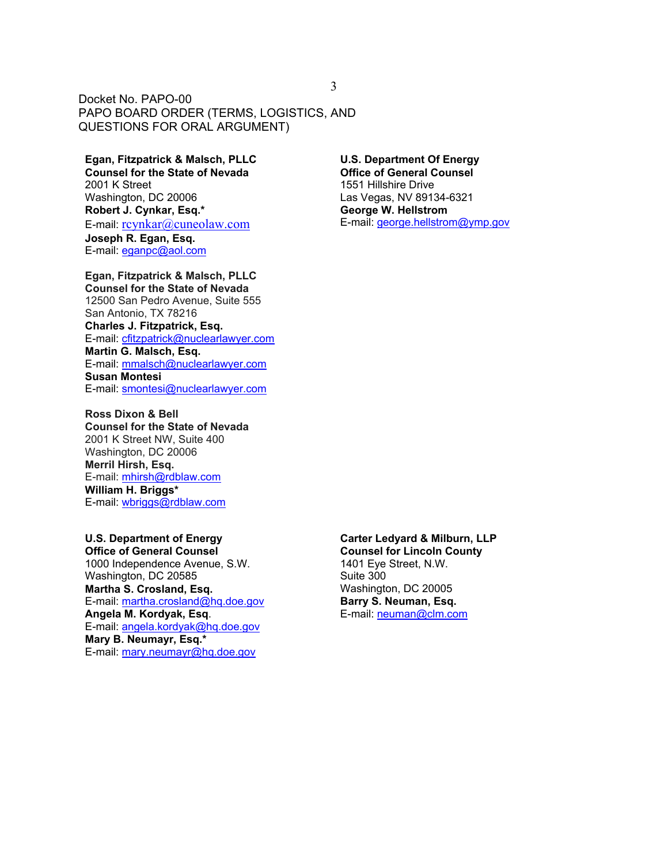# **Egan, Fitzpatrick & Malsch, PLLC**

**Counsel for the State of Nevada** 2001 K Street Washington, DC 20006 **Robert J. Cynkar, Esq.\*** E-mail: rcynkar@cuneolaw.com **Joseph R. Egan, Esq.** E-mail: eganpc@aol.com

#### **Egan, Fitzpatrick & Malsch, PLLC**

**Counsel for the State of Nevada** 12500 San Pedro Avenue, Suite 555 San Antonio, TX 78216 **Charles J. Fitzpatrick, Esq.** E-mail: cfitzpatrick@nuclearlawyer.com **Martin G. Malsch, Esq.** E-mail: mmalsch@nuclearlawyer.com **Susan Montesi** E-mail: smontesi@nuclearlawyer.com

# **Ross Dixon & Bell**

**Counsel for the State of Nevada** 2001 K Street NW, Suite 400 Washington, DC 20006 **Merril Hirsh, Esq.** E-mail: mhirsh@rdblaw.com **William H. Briggs\*** E-mail: wbriggs@rdblaw.com

#### **U.S. Department of Energy Office of General Counsel**

1000 Independence Avenue, S.W. Washington, DC 20585 **Martha S. Crosland, Esq.** E-mail: martha.crosland@hq.doe.gov **Angela M. Kordyak, Esq**. E-mail: angela.kordyak@hq.doe.gov **Mary B. Neumayr, Esq.\*** E-mail: mary.neumayr@hq.doe.gov

#### **U.S. Department Of Energy Office of General Counsel**

1551 Hillshire Drive Las Vegas, NV 89134-6321 **George W. Hellstrom** E-mail: george.hellstrom@ymp.gov

#### **Carter Ledyard & Milburn, LLP**

**Counsel for Lincoln County** 1401 Eye Street, N.W. Suite 300 Washington, DC 20005 **Barry S. Neuman, Esq.** E-mail: neuman@clm.com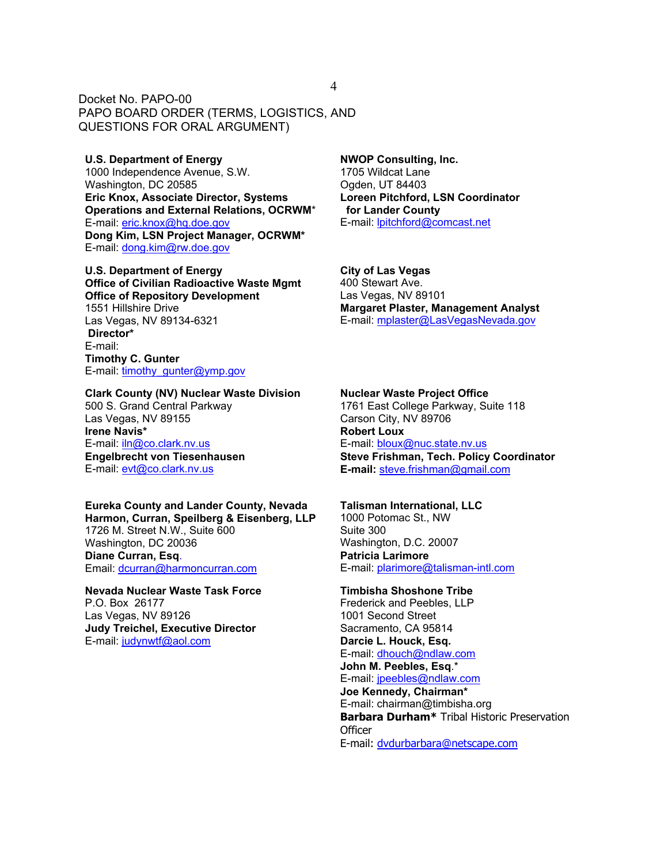**U.S. Department of Energy** 1000 Independence Avenue, S.W. Washington, DC 20585 **Eric Knox, Associate Director, Systems Operations and External Relations, OCRWM**\* E-mail: eric.knox@hq.doe.gov **Dong Kim, LSN Project Manager, OCRWM\*** E-mail: dong.kim@rw.doe.gov

**U.S. Department of Energy Office of Civilian Radioactive Waste Mgmt Office of Repository Development** 1551 Hillshire Drive Las Vegas, NV 89134-6321  **Director\*** E-mail: **Timothy C. Gunter** E-mail: timothy\_gunter@ymp.gov

**Clark County (NV) Nuclear Waste Division** 500 S. Grand Central Parkway Las Vegas, NV 89155 **Irene Navis\*** E-mail: iln@co.clark.nv.us **Engelbrecht von Tiesenhausen** E-mail: evt@co.clark.nv.us

**Eureka County and Lander County, Nevada Harmon, Curran, Speilberg & Eisenberg, LLP** 1726 M. Street N.W., Suite 600 Washington, DC 20036 **Diane Curran, Esq**. Email: dcurran@harmoncurran.com

**Nevada Nuclear Waste Task Force** P.O. Box 26177 Las Vegas, NV 89126 **Judy Treichel, Executive Director** E-mail: judynwtf@aol.com

**NWOP Consulting, Inc.** 1705 Wildcat Lane Ogden, UT 84403 **Loreen Pitchford, LSN Coordinator for Lander County** E-mail: lpitchford@comcast.net

**City of Las Vegas** 400 Stewart Ave. Las Vegas, NV 89101 **Margaret Plaster, Management Analyst** E-mail: mplaster@LasVegasNevada.gov

#### **Nuclear Waste Project Office**

1761 East College Parkway, Suite 118 Carson City, NV 89706 **Robert Loux** E-mail: bloux@nuc.state.nv.us **Steve Frishman, Tech. Policy Coordinator E-mail:** steve.frishman@gmail.com

#### **Talisman International, LLC**

1000 Potomac St., NW Suite 300 Washington, D.C. 20007 **Patricia Larimore** E-mail: plarimore@talisman-intl.com

**Timbisha Shoshone Tribe** Frederick and Peebles, LLP 1001 Second Street Sacramento, CA 95814 **Darcie L. Houck, Esq.** E-mail: dhouch@ndlaw.com **John M. Peebles, Esq**.\* E-mail: jpeebles@ndlaw.com **Joe Kennedy, Chairman\*** E-mail: chairman@timbisha.org **Barbara Durham\*** Tribal Historic Preservation **Officer** E-mail: dvdurbarbara@netscape.com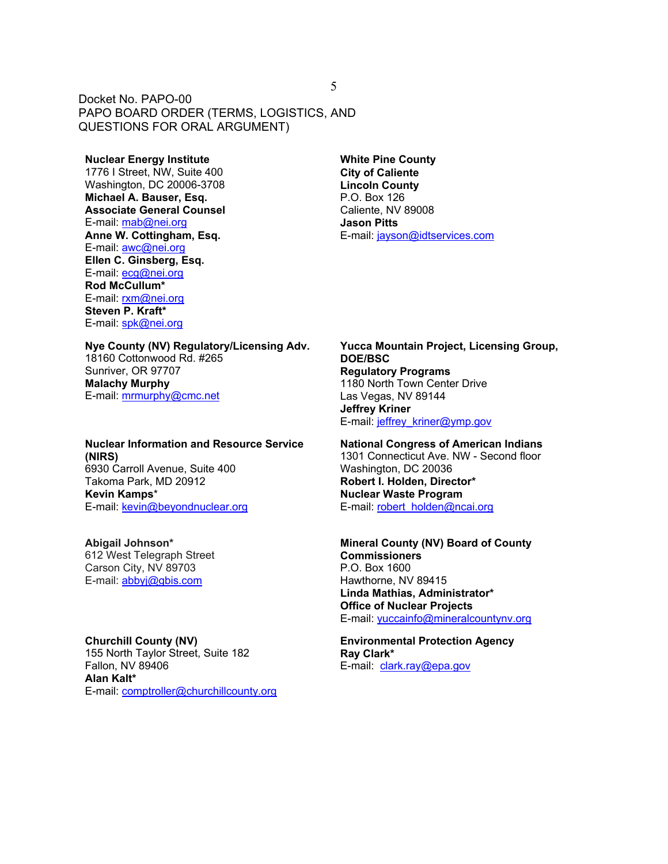#### **Nuclear Energy Institute**

1776 I Street, NW, Suite 400 Washington, DC 20006-3708 **Michael A. Bauser, Esq. Associate General Counsel** E-mail: mab@nei.org **Anne W. Cottingham, Esq.** E-mail: awc@nei.org **Ellen C. Ginsberg, Esq.** E-mail: ecg@nei.org **Rod McCullum\*** E-mail: rxm@nei.org **Steven P. Kraft\*** E-mail: spk@nei.org

**Nye County (NV) Regulatory/Licensing Adv.** 18160 Cottonwood Rd. #265 Sunriver, OR 97707 **Malachy Murphy** E-mail: mrmurphy@cmc.net

**Nuclear Information and Resource Service (NIRS)** 6930 Carroll Avenue, Suite 400 Takoma Park, MD 20912 **Kevin Kamps**\* E-mail: kevin@beyondnuclear.org

**Abigail Johnson\*** 612 West Telegraph Street Carson City, NV 89703 E-mail: abbyj@gbis.com

**Churchill County (NV)** 155 North Taylor Street, Suite 182 Fallon, NV 89406 **Alan Kalt\*** E-mail: comptroller@churchillcounty.org **White Pine County City of Caliente Lincoln County** P.O. Box 126 Caliente, NV 89008 **Jason Pitts** E-mail: jayson@idtservices.com

**Yucca Mountain Project, Licensing Group, DOE/BSC Regulatory Programs** 1180 North Town Center Drive Las Vegas, NV 89144 **Jeffrey Kriner** E-mail: jeffrey\_kriner@ymp.gov

**National Congress of American Indians** 1301 Connecticut Ave. NW - Second floor Washington, DC 20036 **Robert I. Holden, Director\* Nuclear Waste Program** E-mail: robert\_holden@ncai.org

**Mineral County (NV) Board of County Commissioners** P.O. Box 1600 Hawthorne, NV 89415 **Linda Mathias, Administrator\* Office of Nuclear Projects** E-mail: yuccainfo@mineralcountynv.org

**Environmental Protection Agency Ray Clark\*** E-mail: clark.ray@epa.gov